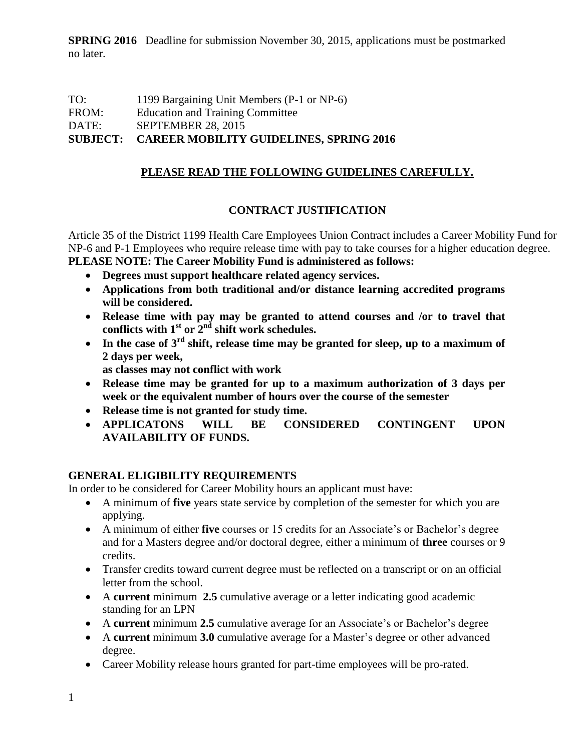## TO: 1199 Bargaining Unit Members (P-1 or NP-6) FROM: Education and Training Committee DATE: SEPTEMBER 28, 2015 **SUBJECT: CAREER MOBILITY GUIDELINES, SPRING 2016**

# **PLEASE READ THE FOLLOWING GUIDELINES CAREFULLY.**

## **CONTRACT JUSTIFICATION**

Article 35 of the District 1199 Health Care Employees Union Contract includes a Career Mobility Fund for NP-6 and P-1 Employees who require release time with pay to take courses for a higher education degree. **PLEASE NOTE: The Career Mobility Fund is administered as follows:**

- **Degrees must support healthcare related agency services.**
- **Applications from both traditional and/or distance learning accredited programs will be considered.**
- **Release time with pay may be granted to attend courses and /or to travel that conflicts with 1st or 2nd shift work schedules.**
- **In the case of 3rd shift, release time may be granted for sleep, up to a maximum of 2 days per week,**

 **as classes may not conflict with work** 

- **Release time may be granted for up to a maximum authorization of 3 days per week or the equivalent number of hours over the course of the semester**
- **Release time is not granted for study time.**
- **APPLICATONS WILL BE CONSIDERED CONTINGENT UPON AVAILABILITY OF FUNDS.**

# **GENERAL ELIGIBILITY REQUIREMENTS**

In order to be considered for Career Mobility hours an applicant must have:

- A minimum of **five** years state service by completion of the semester for which you are applying.
- A minimum of either **five** courses or 15 credits for an Associate's or Bachelor's degree and for a Masters degree and/or doctoral degree, either a minimum of **three** courses or 9 credits.
- Transfer credits toward current degree must be reflected on a transcript or on an official letter from the school.
- A **current** minimum **2.5** cumulative average or a letter indicating good academic standing for an LPN
- A **current** minimum **2.5** cumulative average for an Associate's or Bachelor's degree
- A **current** minimum **3.0** cumulative average for a Master's degree or other advanced degree.
- Career Mobility release hours granted for part-time employees will be pro-rated.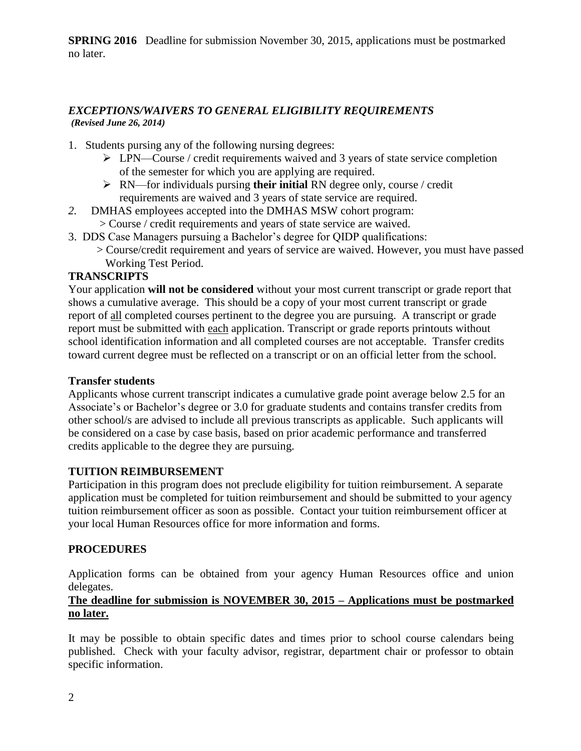#### *EXCEPTIONS/WAIVERS TO GENERAL ELIGIBILITY REQUIREMENTS (Revised June 26, 2014)*

- 1. Students pursing any of the following nursing degrees:
	- $\triangleright$  LPN—Course / credit requirements waived and 3 years of state service completion of the semester for which you are applying are required.
	- RN—for individuals pursing **their initial** RN degree only, course / credit requirements are waived and 3 years of state service are required.
- *2.* DMHAS employees accepted into the DMHAS MSW cohort program:
	- > Course / credit requirements and years of state service are waived.
- 3. DDS Case Managers pursuing a Bachelor's degree for QIDP qualifications:
	- > Course/credit requirement and years of service are waived. However, you must have passed Working Test Period.

## **TRANSCRIPTS**

Your application **will not be considered** without your most current transcript or grade report that shows a cumulative average. This should be a copy of your most current transcript or grade report of all completed courses pertinent to the degree you are pursuing. A transcript or grade report must be submitted with each application. Transcript or grade reports printouts without school identification information and all completed courses are not acceptable. Transfer credits toward current degree must be reflected on a transcript or on an official letter from the school.

#### **Transfer students**

Applicants whose current transcript indicates a cumulative grade point average below 2.5 for an Associate's or Bachelor's degree or 3.0 for graduate students and contains transfer credits from other school/s are advised to include all previous transcripts as applicable. Such applicants will be considered on a case by case basis, based on prior academic performance and transferred credits applicable to the degree they are pursuing.

### **TUITION REIMBURSEMENT**

Participation in this program does not preclude eligibility for tuition reimbursement. A separate application must be completed for tuition reimbursement and should be submitted to your agency tuition reimbursement officer as soon as possible. Contact your tuition reimbursement officer at your local Human Resources office for more information and forms.

#### **PROCEDURES**

Application forms can be obtained from your agency Human Resources office and union delegates.

## **The deadline for submission is NOVEMBER 30, 2015 – Applications must be postmarked no later.**

It may be possible to obtain specific dates and times prior to school course calendars being published. Check with your faculty advisor, registrar, department chair or professor to obtain specific information.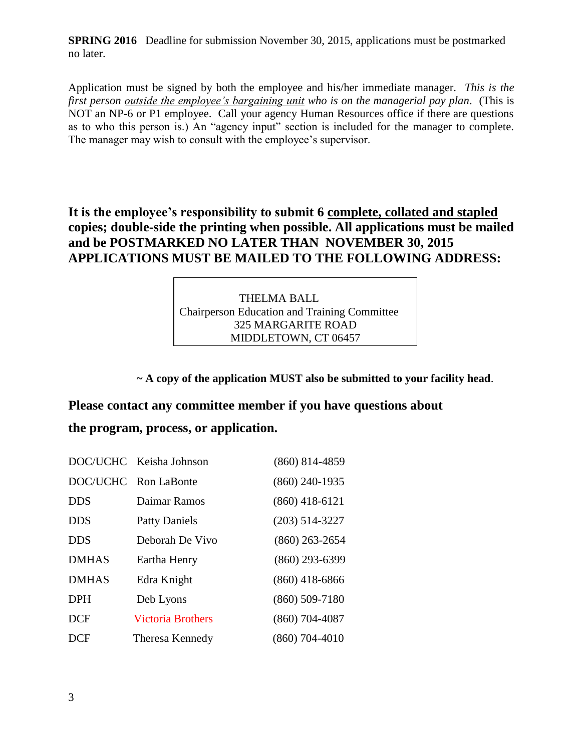Application must be signed by both the employee and his/her immediate manager. *This is the first person outside the employee's bargaining unit who is on the managerial pay plan*. (This is NOT an NP-6 or P1 employee. Call your agency Human Resources office if there are questions as to who this person is.) An "agency input" section is included for the manager to complete. The manager may wish to consult with the employee's supervisor.

**It is the employee's responsibility to submit 6 complete, collated and stapled copies; double-side the printing when possible. All applications must be mailed and be POSTMARKED NO LATER THAN NOVEMBER 30, 2015 APPLICATIONS MUST BE MAILED TO THE FOLLOWING ADDRESS:**

> THELMA BALL Chairperson Education and Training Committee 325 MARGARITE ROAD MIDDLETOWN, CT 06457

**~ A copy of the application MUST also be submitted to your facility head**.

# **Please contact any committee member if you have questions about**

# **the program, process, or application.**

|              | DOC/UCHC Keisha Johnson  | $(860) 814 - 4859$ |
|--------------|--------------------------|--------------------|
|              | DOC/UCHC Ron LaBonte     | $(860)$ 240-1935   |
| <b>DDS</b>   | Daimar Ramos             | $(860)$ 418-6121   |
| <b>DDS</b>   | <b>Patty Daniels</b>     | $(203)$ 514-3227   |
| <b>DDS</b>   | Deborah De Vivo          | $(860)$ 263-2654   |
| <b>DMHAS</b> | Eartha Henry             | $(860)$ 293-6399   |
| <b>DMHAS</b> | Edra Knight              | $(860)$ 418-6866   |
| <b>DPH</b>   | Deb Lyons                | $(860) 509 - 7180$ |
| <b>DCF</b>   | <b>Victoria Brothers</b> | $(860)$ 704-4087   |
| <b>DCF</b>   | Theresa Kennedy          | $(860)$ 704-4010   |